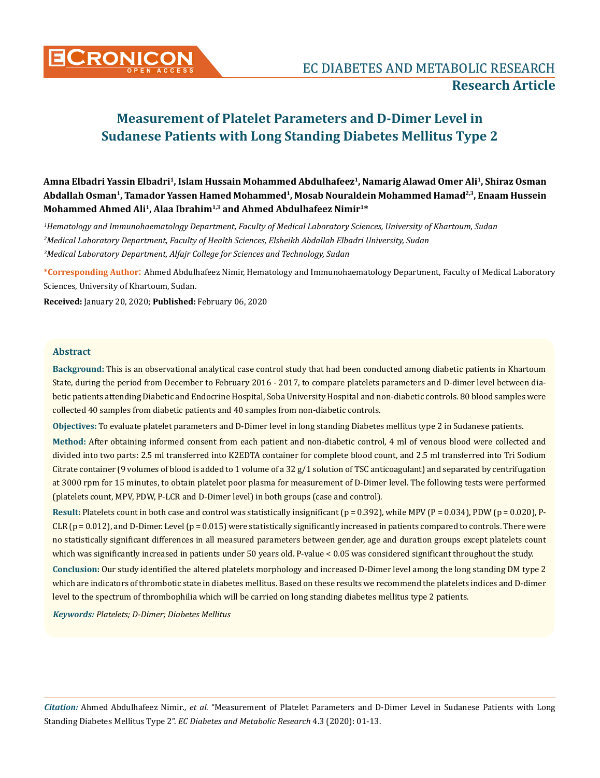

Amna Elbadri Yassin Elbadri<sup>1</sup>, Islam Hussain Mohammed Abdulhafeez<sup>1</sup>, Namarig Alawad Omer Ali<sup>1</sup>, Shiraz Osman **Abdallah Osman1, Tamador Yassen Hamed Mohammed1, Mosab Nouraldein Mohammed Hamad2,3, Enaam Hussein Mohammed Ahmed Ali1, Alaa Ibrahim1,3 and Ahmed Abdulhafeez Nimir1\***

*1 Hematology and Immunohaematology Department, Faculty of Medical Laboratory Sciences, University of Khartoum, Sudan 2 Medical Laboratory Department, Faculty of Health Sciences, Elsheikh Abdallah Elbadri University, Sudan 3 Medical Laboratory Department, Alfajr College for Sciences and Technology, Sudan*

**\*Corresponding Author**: Ahmed Abdulhafeez Nimir, Hematology and Immunohaematology Department, Faculty of Medical Laboratory Sciences, University of Khartoum, Sudan.

**Received:** January 20, 2020; **Published:** February 06, 2020

# **Abstract**

**Background:** This is an observational analytical case control study that had been conducted among diabetic patients in Khartoum State, during the period from December to February 2016 - 2017, to compare platelets parameters and D-dimer level between diabetic patients attending Diabetic and Endocrine Hospital, Soba University Hospital and non-diabetic controls. 80 blood samples were collected 40 samples from diabetic patients and 40 samples from non-diabetic controls.

**Objectives:** To evaluate platelet parameters and D-Dimer level in long standing Diabetes mellitus type 2 in Sudanese patients.

**Method:** After obtaining informed consent from each patient and non-diabetic control, 4 ml of venous blood were collected and divided into two parts: 2.5 ml transferred into K2EDTA container for complete blood count, and 2.5 ml transferred into Tri Sodium Citrate container (9 volumes of blood is added to 1 volume of a 32  $g/1$  solution of TSC anticoagulant) and separated by centrifugation at 3000 rpm for 15 minutes, to obtain platelet poor plasma for measurement of D-Dimer level. The following tests were performed (platelets count, MPV, PDW, P-LCR and D-Dimer level) in both groups (case and control).

Result: Platelets count in both case and control was statistically insignificant (p = 0.392), while MPV (P = 0.034), PDW (p = 0.020), P- $CLR$  ( $p = 0.012$ ), and D-Dimer. Level ( $p = 0.015$ ) were statistically significantly increased in patients compared to controls. There were no statistically significant differences in all measured parameters between gender, age and duration groups except platelets count which was significantly increased in patients under 50 years old. P-value < 0.05 was considered significant throughout the study.

**Conclusion:** Our study identified the altered platelets morphology and increased D-Dimer level among the long standing DM type 2 which are indicators of thrombotic state in diabetes mellitus. Based on these results we recommend the platelets indices and D-dimer level to the spectrum of thrombophilia which will be carried on long standing diabetes mellitus type 2 patients.

*Keywords: Platelets; D-Dimer; Diabetes Mellitus*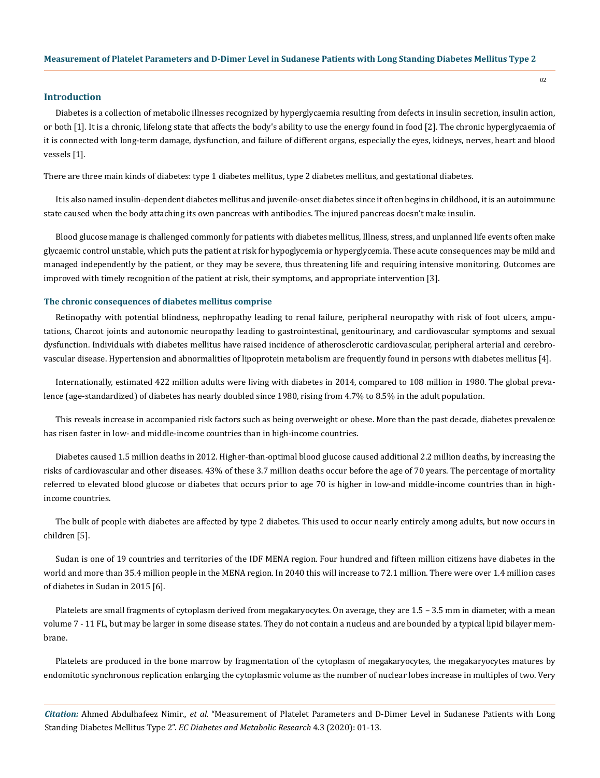# **Introduction**

Diabetes is a collection of metabolic illnesses recognized by hyperglycaemia resulting from defects in insulin secretion, insulin action, or both [1]. It is a chronic, lifelong state that affects the body's ability to use the energy found in food [2]. The chronic hyperglycaemia of it is connected with long-term damage, dysfunction, and failure of different organs, especially the eyes, kidneys, nerves, heart and blood vessels [1].

There are three main kinds of diabetes: type 1 diabetes mellitus, type 2 diabetes mellitus, and gestational diabetes.

It is also named insulin-dependent diabetes mellitus and juvenile-onset diabetes since it often begins in childhood, it is an autoimmune state caused when the body attaching its own pancreas with antibodies. The injured pancreas doesn't make insulin.

Blood glucose manage is challenged commonly for patients with diabetes mellitus, Illness, stress, and unplanned life events often make glycaemic control unstable, which puts the patient at risk for hypoglycemia or hyperglycemia. These acute consequences may be mild and managed independently by the patient, or they may be severe, thus threatening life and requiring intensive monitoring. Outcomes are improved with timely recognition of the patient at risk, their symptoms, and appropriate intervention [3].

#### **The chronic consequences of diabetes mellitus comprise**

Retinopathy with potential blindness, nephropathy leading to renal failure, peripheral neuropathy with risk of foot ulcers, amputations, Charcot joints and autonomic neuropathy leading to gastrointestinal, genitourinary, and cardiovascular symptoms and sexual dysfunction. Individuals with diabetes mellitus have raised incidence of atherosclerotic cardiovascular, peripheral arterial and cerebrovascular disease. Hypertension and abnormalities of lipoprotein metabolism are frequently found in persons with diabetes mellitus [4].

Internationally, estimated 422 million adults were living with diabetes in 2014, compared to 108 million in 1980. The global prevalence (age-standardized) of diabetes has nearly doubled since 1980, rising from 4.7% to 8.5% in the adult population.

This reveals increase in accompanied risk factors such as being overweight or obese. More than the past decade, diabetes prevalence has risen faster in low- and middle-income countries than in high-income countries.

Diabetes caused 1.5 million deaths in 2012. Higher-than-optimal blood glucose caused additional 2.2 million deaths, by increasing the risks of cardiovascular and other diseases. 43% of these 3.7 million deaths occur before the age of 70 years. The percentage of mortality referred to elevated blood glucose or diabetes that occurs prior to age 70 is higher in low-and middle-income countries than in highincome countries.

The bulk of people with diabetes are affected by type 2 diabetes. This used to occur nearly entirely among adults, but now occurs in children [5].

Sudan is one of 19 countries and territories of the IDF MENA region. Four hundred and fifteen million citizens have diabetes in the world and more than 35.4 million people in the MENA region. In 2040 this will increase to 72.1 million. There were over 1.4 million cases of diabetes in Sudan in 2015 [6].

Platelets are small fragments of cytoplasm derived from megakaryocytes. On average, they are 1.5 – 3.5 mm in diameter, with a mean volume 7 - 11 FL, but may be larger in some disease states. They do not contain a nucleus and are bounded by a typical lipid bilayer membrane.

Platelets are produced in the bone marrow by fragmentation of the cytoplasm of megakaryocytes, the megakaryocytes matures by endomitotic synchronous replication enlarging the cytoplasmic volume as the number of nuclear lobes increase in multiples of two. Very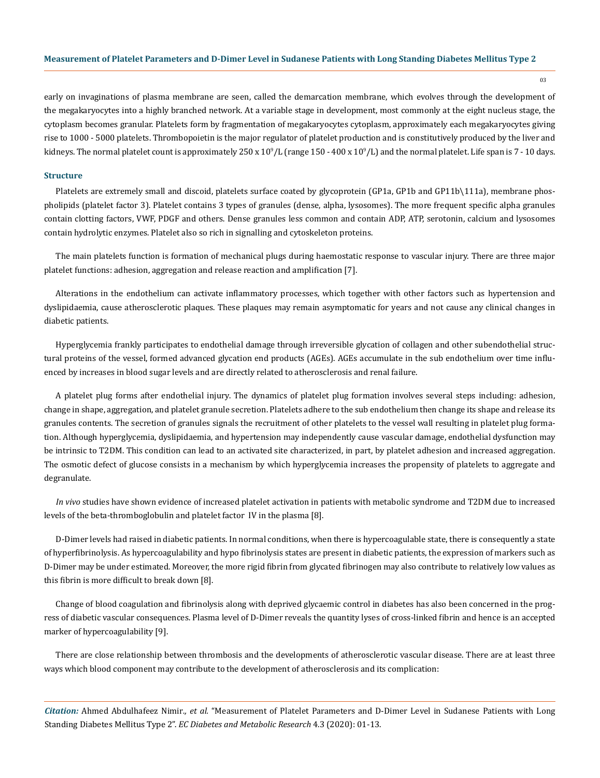03

early on invaginations of plasma membrane are seen, called the demarcation membrane, which evolves through the development of the megakaryocytes into a highly branched network. At a variable stage in development, most commonly at the eight nucleus stage, the cytoplasm becomes granular. Platelets form by fragmentation of megakaryocytes cytoplasm, approximately each megakaryocytes giving rise to 1000 - 5000 platelets. Thrombopoietin is the major regulator of platelet production and is constitutively produced by the liver and kidneys. The normal platelet count is approximately 250 x 10<sup>9</sup>/L (range 150 - 400 x 10<sup>9</sup>/L) and the normal platelet. Life span is 7 - 10 days.

## **Structure**

Platelets are extremely small and discoid, platelets surface coated by glycoprotein (GP1a, GP1b and GP11b\111a), membrane phospholipids (platelet factor 3). Platelet contains 3 types of granules (dense, alpha, lysosomes). The more frequent specific alpha granules contain clotting factors, VWF, PDGF and others. Dense granules less common and contain ADP, ATP, serotonin, calcium and lysosomes contain hydrolytic enzymes. Platelet also so rich in signalling and cytoskeleton proteins.

The main platelets function is formation of mechanical plugs during haemostatic response to vascular injury. There are three major platelet functions: adhesion, aggregation and release reaction and amplification [7].

Alterations in the endothelium can activate inflammatory processes, which together with other factors such as hypertension and dyslipidaemia, cause atherosclerotic plaques. These plaques may remain asymptomatic for years and not cause any clinical changes in diabetic patients.

Hyperglycemia frankly participates to endothelial damage through irreversible glycation of collagen and other subendothelial structural proteins of the vessel, formed advanced glycation end products (AGEs). AGEs accumulate in the sub endothelium over time influenced by increases in blood sugar levels and are directly related to atherosclerosis and renal failure.

A platelet plug forms after endothelial injury. The dynamics of platelet plug formation involves several steps including: adhesion, change in shape, aggregation, and platelet granule secretion. Platelets adhere to the sub endothelium then change its shape and release its granules contents. The secretion of granules signals the recruitment of other platelets to the vessel wall resulting in platelet plug formation. Although hyperglycemia, dyslipidaemia, and hypertension may independently cause vascular damage, endothelial dysfunction may be intrinsic to T2DM. This condition can lead to an activated site characterized, in part, by platelet adhesion and increased aggregation. The osmotic defect of glucose consists in a mechanism by which hyperglycemia increases the propensity of platelets to aggregate and degranulate.

*In vivo* studies have shown evidence of increased platelet activation in patients with metabolic syndrome and T2DM due to increased levels of the beta-thromboglobulin and platelet factor IV in the plasma [8].

D-Dimer levels had raised in diabetic patients. In normal conditions, when there is hypercoagulable state, there is consequently a state of hyperfibrinolysis. As hypercoagulability and hypo fibrinolysis states are present in diabetic patients, the expression of markers such as D-Dimer may be under estimated. Moreover, the more rigid fibrin from glycated fibrinogen may also contribute to relatively low values as this fibrin is more difficult to break down [8].

Change of blood coagulation and fibrinolysis along with deprived glycaemic control in diabetes has also been concerned in the progress of diabetic vascular consequences. Plasma level of D-Dimer reveals the quantity lyses of cross-linked fibrin and hence is an accepted marker of hypercoagulability [9].

There are close relationship between thrombosis and the developments of atherosclerotic vascular disease. There are at least three ways which blood component may contribute to the development of atherosclerosis and its complication: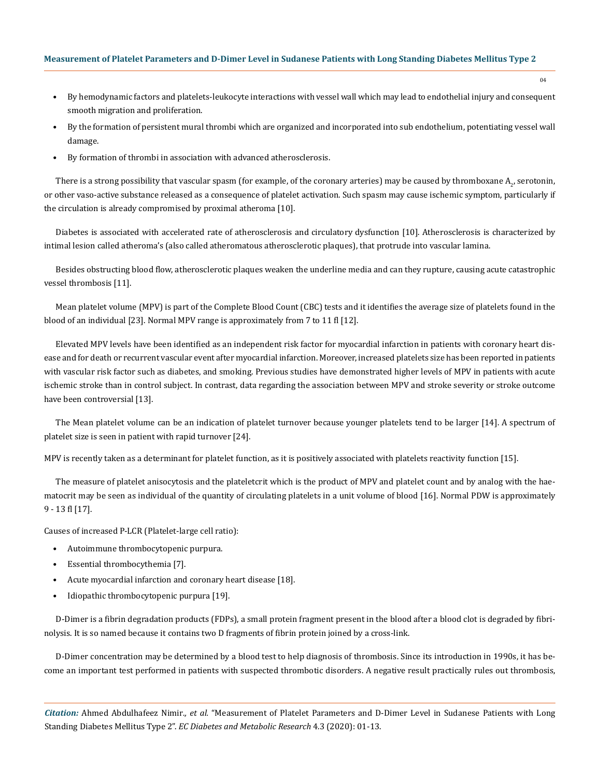• By hemodynamic factors and platelets-leukocyte interactions with vessel wall which may lead to endothelial injury and consequent smooth migration and proliferation.

04

- By the formation of persistent mural thrombi which are organized and incorporated into sub endothelium, potentiating vessel wall damage.
- By formation of thrombi in association with advanced atherosclerosis.

There is a strong possibility that vascular spasm (for example, of the coronary arteries) may be caused by thromboxane  $A_{2'}$  serotonin, or other vaso-active substance released as a consequence of platelet activation. Such spasm may cause ischemic symptom, particularly if the circulation is already compromised by proximal atheroma [10].

Diabetes is associated with accelerated rate of atherosclerosis and circulatory dysfunction [10]. Atherosclerosis is characterized by intimal lesion called atheroma's (also called atheromatous atherosclerotic plaques), that protrude into vascular lamina.

Besides obstructing blood flow, atherosclerotic plaques weaken the underline media and can they rupture, causing acute catastrophic vessel thrombosis [11].

Mean platelet volume (MPV) is part of the Complete Blood Count (CBC) tests and it identifies the average size of platelets found in the blood of an individual [23]. Normal MPV range is approximately from 7 to 11 fl [12].

Elevated MPV levels have been identified as an independent risk factor for myocardial infarction in patients with coronary heart disease and for death or recurrent vascular event after myocardial infarction. Moreover, increased platelets size has been reported in patients with vascular risk factor such as diabetes, and smoking. Previous studies have demonstrated higher levels of MPV in patients with acute ischemic stroke than in control subject. In contrast, data regarding the association between MPV and stroke severity or stroke outcome have been controversial [13].

The Mean platelet volume can be an indication of platelet turnover because younger platelets tend to be larger [14]. A spectrum of platelet size is seen in patient with rapid turnover [24].

MPV is recently taken as a determinant for platelet function, as it is positively associated with platelets reactivity function [15].

The measure of platelet anisocytosis and the plateletcrit which is the product of MPV and platelet count and by analog with the haematocrit may be seen as individual of the quantity of circulating platelets in a unit volume of blood [16]. Normal PDW is approximately 9 - 13 fl [17].

Causes of increased P-LCR (Platelet-large cell ratio):

- Autoimmune thrombocytopenic purpura.
- Essential thrombocythemia [7].
- Acute myocardial infarction and coronary heart disease [18].
- Idiopathic thrombocytopenic purpura [19].

D-Dimer is a fibrin degradation products (FDPs), a small protein fragment present in the blood after a blood clot is degraded by fibrinolysis. It is so named because it contains two D fragments of fibrin protein joined by a cross-link.

D-Dimer concentration may be determined by a blood test to help diagnosis of thrombosis. Since its introduction in 1990s, it has become an important test performed in patients with suspected thrombotic disorders. A negative result practically rules out thrombosis,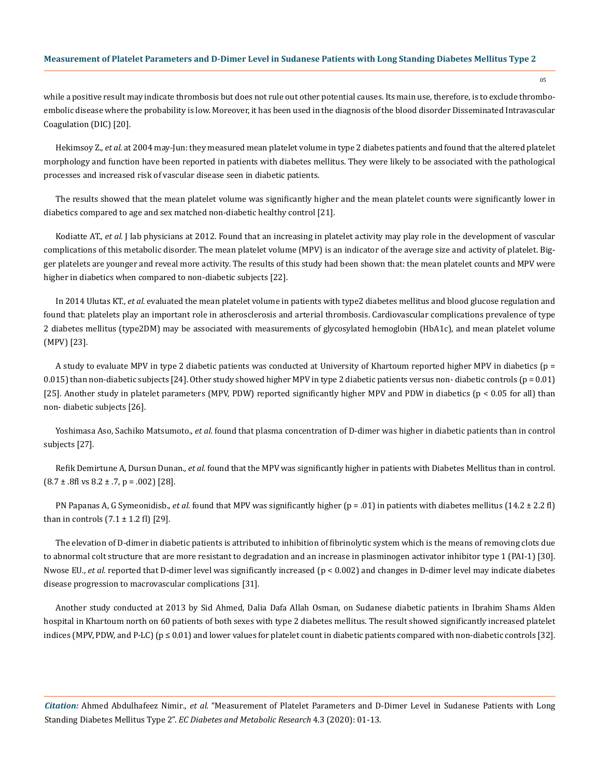while a positive result may indicate thrombosis but does not rule out other potential causes. Its main use, therefore, is to exclude thromboembolic disease where the probability is low. Moreover, it has been used in the diagnosis of the blood disorder Disseminated Intravascular Coagulation (DIC) [20].

Hekimsoy Z., *et al*. at 2004 may-Jun: they measured mean platelet volume in type 2 diabetes patients and found that the altered platelet morphology and function have been reported in patients with diabetes mellitus. They were likely to be associated with the pathological processes and increased risk of vascular disease seen in diabetic patients.

The results showed that the mean platelet volume was significantly higher and the mean platelet counts were significantly lower in diabetics compared to age and sex matched non-diabetic healthy control [21].

Kodiatte AT., *et al.* J lab physicians at 2012. Found that an increasing in platelet activity may play role in the development of vascular complications of this metabolic disorder. The mean platelet volume (MPV) is an indicator of the average size and activity of platelet. Bigger platelets are younger and reveal more activity. The results of this study had been shown that: the mean platelet counts and MPV were higher in diabetics when compared to non-diabetic subjects [22].

In 2014 Ulutas KT., *et al.* evaluated the mean platelet volume in patients with type2 diabetes mellitus and blood glucose regulation and found that: platelets play an important role in atherosclerosis and arterial thrombosis. Cardiovascular complications prevalence of type 2 diabetes mellitus (type2DM) may be associated with measurements of glycosylated hemoglobin (HbA1c), and mean platelet volume (MPV) [23].

A study to evaluate MPV in type 2 diabetic patients was conducted at University of Khartoum reported higher MPV in diabetics (p = 0.015) than non-diabetic subjects [24]. Other study showed higher MPV in type 2 diabetic patients versus non-diabetic controls ( $p = 0.01$ ) [25]. Another study in platelet parameters (MPV, PDW) reported significantly higher MPV and PDW in diabetics (p < 0.05 for all) than non- diabetic subjects [26].

Yoshimasa Aso, Sachiko Matsumoto., *et al.* found that plasma concentration of D-dimer was higher in diabetic patients than in control subjects [27].

Refik Demirtune A, Dursun Dunan*., et al.* found that the MPV was significantly higher in patients with Diabetes Mellitus than in control.  $(8.7 \pm .8 \text{ fl vs } 8.2 \pm .7, p = .002)$  [28].

PN Papanas A, G Symeonidisb., *et al.* found that MPV was significantly higher (p = .01) in patients with diabetes mellitus (14.2 ± 2.2 fl) than in controls  $(7.1 \pm 1.2 \text{ fl})$  [29].

The elevation of D-dimer in diabetic patients is attributed to inhibition of fibrinolytic system which is the means of removing clots due to abnormal colt structure that are more resistant to degradation and an increase in plasminogen activator inhibitor type 1 (PAI-1) [30]. Nwose EU., *et al.* reported that D-dimer level was significantly increased (p < 0.002) and changes in D-dimer level may indicate diabetes disease progression to macrovascular complications [31].

Another study conducted at 2013 by Sid Ahmed, Dalia Dafa Allah Osman, on Sudanese diabetic patients in Ibrahim Shams Alden hospital in Khartoum north on 60 patients of both sexes with type 2 diabetes mellitus. The result showed significantly increased platelet indices (MPV, PDW, and P-LC) ( $p \le 0.01$ ) and lower values for platelet count in diabetic patients compared with non-diabetic controls [32].

*Citation:* Ahmed Abdulhafeez Nimir*., et al.* "Measurement of Platelet Parameters and D-Dimer Level in Sudanese Patients with Long Standing Diabetes Mellitus Type 2". *EC Diabetes and Metabolic Research* 4.3 (2020): 01-13.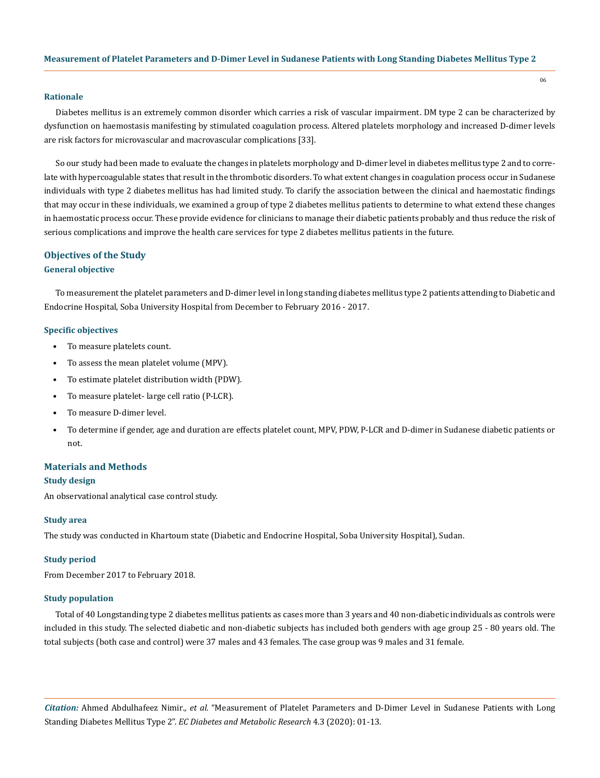# **Rationale**

Diabetes mellitus is an extremely common disorder which carries a risk of vascular impairment. DM type 2 can be characterized by dysfunction on haemostasis manifesting by stimulated coagulation process. Altered platelets morphology and increased D-dimer levels are risk factors for microvascular and macrovascular complications [33].

So our study had been made to evaluate the changes in platelets morphology and D-dimer level in diabetes mellitus type 2 and to correlate with hypercoagulable states that result in the thrombotic disorders. To what extent changes in coagulation process occur in Sudanese individuals with type 2 diabetes mellitus has had limited study. To clarify the association between the clinical and haemostatic findings that may occur in these individuals, we examined a group of type 2 diabetes mellitus patients to determine to what extend these changes in haemostatic process occur. These provide evidence for clinicians to manage their diabetic patients probably and thus reduce the risk of serious complications and improve the health care services for type 2 diabetes mellitus patients in the future.

# **Objectives of the Study**

# **General objective**

To measurement the platelet parameters and D-dimer level in long standing diabetes mellitus type 2 patients attending to Diabetic and Endocrine Hospital, Soba University Hospital from December to February 2016 - 2017.

#### **Specific objectives**

- To measure platelets count.
- To assess the mean platelet volume (MPV).
- To estimate platelet distribution width (PDW).
- To measure platelet- large cell ratio (P-LCR).
- To measure D-dimer level.
- To determine if gender, age and duration are effects platelet count, MPV, PDW, P-LCR and D-dimer in Sudanese diabetic patients or not.

#### **Materials and Methods**

#### **Study design**

An observational analytical case control study.

#### **Study area**

The study was conducted in Khartoum state (Diabetic and Endocrine Hospital, Soba University Hospital), Sudan.

#### **Study period**

From December 2017 to February 2018.

# **Study population**

Total of 40 Longstanding type 2 diabetes mellitus patients as cases more than 3 years and 40 non-diabetic individuals as controls were included in this study. The selected diabetic and non-diabetic subjects has included both genders with age group 25 - 80 years old. The total subjects (both case and control) were 37 males and 43 females. The case group was 9 males and 31 female.

*Citation:* Ahmed Abdulhafeez Nimir*., et al.* "Measurement of Platelet Parameters and D-Dimer Level in Sudanese Patients with Long Standing Diabetes Mellitus Type 2". *EC Diabetes and Metabolic Research* 4.3 (2020): 01-13.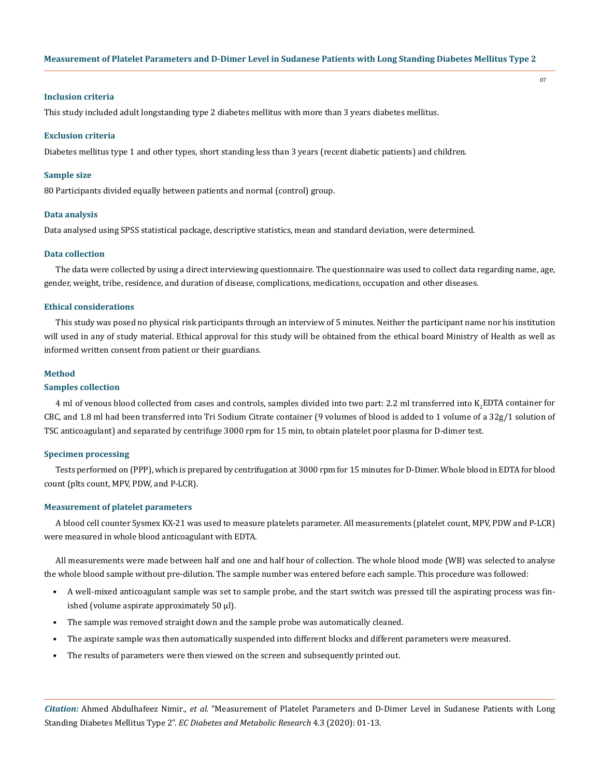# **Inclusion criteria**

This study included adult longstanding type 2 diabetes mellitus with more than 3 years diabetes mellitus.

#### **Exclusion criteria**

Diabetes mellitus type 1 and other types, short standing less than 3 years (recent diabetic patients) and children.

#### **Sample size**

80 Participants divided equally between patients and normal (control) group.

#### **Data analysis**

Data analysed using SPSS statistical package, descriptive statistics, mean and standard deviation, were determined.

# **Data collection**

The data were collected by using a direct interviewing questionnaire. The questionnaire was used to collect data regarding name, age, gender, weight, tribe, residence, and duration of disease, complications, medications, occupation and other diseases.

# **Ethical considerations**

This study was posed no physical risk participants through an interview of 5 minutes. Neither the participant name nor his institution will used in any of study material. Ethical approval for this study will be obtained from the ethical board Ministry of Health as well as informed written consent from patient or their guardians.

#### **Method**

# **Samples collection**

4 ml of venous blood collected from cases and controls, samples divided into two part: 2.2 ml transferred into K<sub>2</sub>EDTA container for CBC, and 1.8 ml had been transferred into Tri Sodium Citrate container (9 volumes of blood is added to 1 volume of a 32g/1 solution of TSC anticoagulant) and separated by centrifuge 3000 rpm for 15 min, to obtain platelet poor plasma for D-dimer test.

#### **Specimen processing**

Tests performed on (PPP), which is prepared by centrifugation at 3000 rpm for 15 minutes for D-Dimer. Whole blood in EDTA for blood count (plts count, MPV, PDW, and P-LCR).

#### **Measurement of platelet parameters**

A blood cell counter Sysmex KX-21 was used to measure platelets parameter. All measurements (platelet count, MPV, PDW and P-LCR) were measured in whole blood anticoagulant with EDTA.

All measurements were made between half and one and half hour of collection. The whole blood mode (WB) was selected to analyse the whole blood sample without pre-dilution. The sample number was entered before each sample. This procedure was followed:

- A well-mixed anticoagulant sample was set to sample probe, and the start switch was pressed till the aspirating process was finished (volume aspirate approximately 50 μl).
- The sample was removed straight down and the sample probe was automatically cleaned.
- The aspirate sample was then automatically suspended into different blocks and different parameters were measured.
- The results of parameters were then viewed on the screen and subsequently printed out.

*Citation:* Ahmed Abdulhafeez Nimir*., et al.* "Measurement of Platelet Parameters and D-Dimer Level in Sudanese Patients with Long Standing Diabetes Mellitus Type 2". *EC Diabetes and Metabolic Research* 4.3 (2020): 01-13.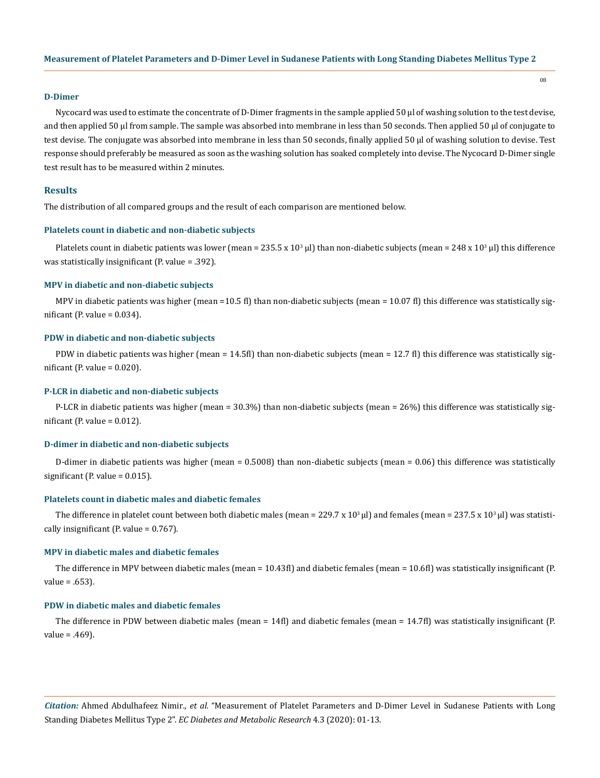#### **D-Dimer**

Nycocard was used to estimate the concentrate of D-Dimer fragments in the sample applied 50 µl of washing solution to the test devise, and then applied 50 µl from sample. The sample was absorbed into membrane in less than 50 seconds. Then applied 50 µl of conjugate to test devise. The conjugate was absorbed into membrane in less than 50 seconds, finally applied 50 µl of washing solution to devise. Test response should preferably be measured as soon as the washing solution has soaked completely into devise. The Nycocard D-Dimer single test result has to be measured within 2 minutes.

#### **Results**

The distribution of all compared groups and the result of each comparison are mentioned below.

#### **Platelets count in diabetic and non-diabetic subjects**

Platelets count in diabetic patients was lower (mean =  $235.5 \times 10^3$  µl) than non-diabetic subjects (mean =  $248 \times 10^3$  µl) this difference was statistically insignificant (P. value = .392).

#### **MPV in diabetic and non-diabetic subjects**

MPV in diabetic patients was higher (mean =10.5 fl) than non-diabetic subjects (mean = 10.07 fl) this difference was statistically significant (P. value =  $0.034$ ).

#### **PDW in diabetic and non-diabetic subjects**

PDW in diabetic patients was higher (mean = 14.5fl) than non-diabetic subjects (mean = 12.7 fl) this difference was statistically significant (P. value =  $0.020$ ).

#### **P-LCR in diabetic and non-diabetic subjects**

P-LCR in diabetic patients was higher (mean = 30.3%) than non-diabetic subjects (mean = 26%) this difference was statistically significant (P. value =  $0.012$ ).

# **D-dimer in diabetic and non-diabetic subjects**

D-dimer in diabetic patients was higher (mean =  $0.5008$ ) than non-diabetic subjects (mean =  $0.06$ ) this difference was statistically significant (P. value =  $0.015$ ).

#### **Platelets count in diabetic males and diabetic females**

The difference in platelet count between both diabetic males (mean = 229.7 x 10<sup>3</sup> µl) and females (mean = 237.5 x 10<sup>3</sup> µl) was statistically insignificant (P. value = 0.767).

# **MPV in diabetic males and diabetic females**

The difference in MPV between diabetic males (mean = 10.43fl) and diabetic females (mean = 10.6fl) was statistically insignificant (P. value = .653).

# **PDW in diabetic males and diabetic females**

The difference in PDW between diabetic males (mean = 14fl) and diabetic females (mean = 14.7fl) was statistically insignificant (P. value = .469).

*Citation:* Ahmed Abdulhafeez Nimir*., et al.* "Measurement of Platelet Parameters and D-Dimer Level in Sudanese Patients with Long Standing Diabetes Mellitus Type 2". *EC Diabetes and Metabolic Research* 4.3 (2020): 01-13.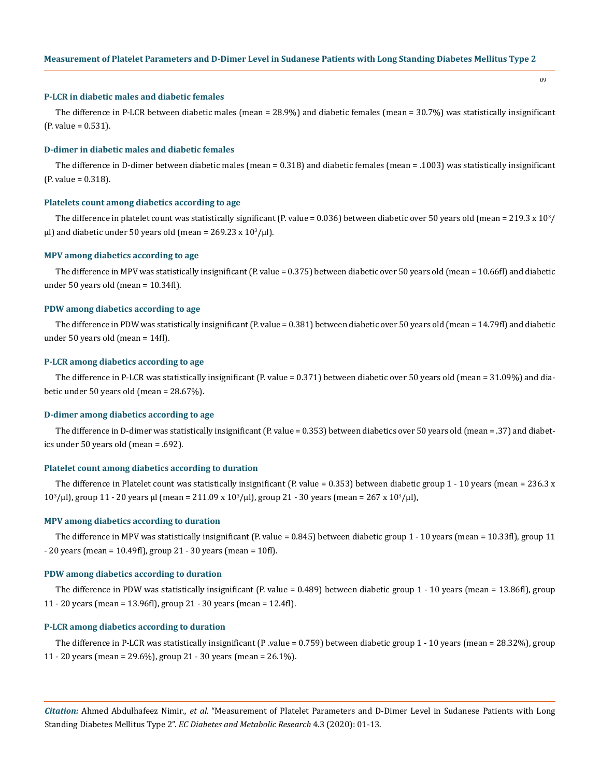# **P-LCR in diabetic males and diabetic females**

The difference in P-LCR between diabetic males (mean = 28.9%) and diabetic females (mean = 30.7%) was statistically insignificant (P. value = 0.531).

#### **D-dimer in diabetic males and diabetic females**

The difference in D-dimer between diabetic males (mean = 0.318) and diabetic females (mean = .1003) was statistically insignificant (P. value = 0.318).

#### **Platelets count among diabetics according to age**

The difference in platelet count was statistically significant (P. value =  $0.036$ ) between diabetic over 50 years old (mean =  $219.3 \times 10^{3}/$ μl) and diabetic under 50 years old (mean = 269.23 x  $10^3$ /μl).

#### **MPV among diabetics according to age**

The difference in MPV was statistically insignificant (P. value = 0.375) between diabetic over 50 years old (mean = 10.66fl) and diabetic under 50 years old (mean = 10.34fl).

# **PDW among diabetics according to age**

The difference in PDW was statistically insignificant (P. value = 0.381) between diabetic over 50 years old (mean = 14.79fl) and diabetic under 50 years old (mean = 14fl).

#### **P-LCR among diabetics according to age**

The difference in P-LCR was statistically insignificant (P. value = 0.371) between diabetic over 50 years old (mean = 31.09%) and diabetic under 50 years old (mean = 28.67%).

#### **D-dimer among diabetics according to age**

The difference in D-dimer was statistically insignificant (P. value = 0.353) between diabetics over 50 years old (mean = .37) and diabetics under 50 years old (mean = .692).

#### **Platelet count among diabetics according to duration**

The difference in Platelet count was statistically insignificant (P. value =  $0.353$ ) between diabetic group 1 - 10 years (mean =  $236.3 \text{ x}$ )  $10<sup>3</sup>/μ$ l), group 11 - 20 years μl (mean = 211.09 x  $10<sup>3</sup>/μ$ l), group 21 - 30 years (mean = 267 x  $10<sup>3</sup>/μ$ l),

#### **MPV among diabetics according to duration**

The difference in MPV was statistically insignificant (P. value = 0.845) between diabetic group 1 - 10 years (mean = 10.33fl), group 11 - 20 years (mean = 10.49fl), group 21 - 30 years (mean = 10fl).

# **PDW among diabetics according to duration**

The difference in PDW was statistically insignificant (P. value = 0.489) between diabetic group 1 - 10 years (mean = 13.86fl), group 11 - 20 years (mean = 13.96fl), group 21 - 30 years (mean = 12.4fl).

#### **P-LCR among diabetics according to duration**

The difference in P-LCR was statistically insignificant (P .value = 0.759) between diabetic group 1 - 10 years (mean = 28.32%), group 11 - 20 years (mean = 29.6%), group 21 - 30 years (mean = 26.1%).

*Citation:* Ahmed Abdulhafeez Nimir*., et al.* "Measurement of Platelet Parameters and D-Dimer Level in Sudanese Patients with Long Standing Diabetes Mellitus Type 2". *EC Diabetes and Metabolic Research* 4.3 (2020): 01-13.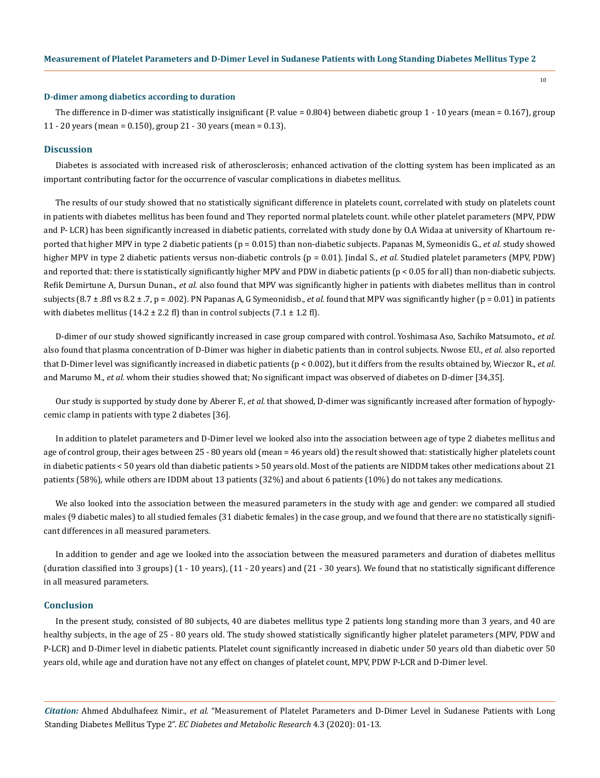#### **D-dimer among diabetics according to duration**

The difference in D-dimer was statistically insignificant (P. value = 0.804) between diabetic group 1 - 10 years (mean = 0.167), group 11 - 20 years (mean = 0.150), group 21 - 30 years (mean = 0.13).

#### **Discussion**

Diabetes is associated with increased risk of atherosclerosis; enhanced activation of the clotting system has been implicated as an important contributing factor for the occurrence of vascular complications in diabetes mellitus.

The results of our study showed that no statistically significant difference in platelets count, correlated with study on platelets count in patients with diabetes mellitus has been found and They reported normal platelets count. while other platelet parameters (MPV, PDW and P- LCR) has been significantly increased in diabetic patients, correlated with study done by O.A Widaa at university of Khartoum reported that higher MPV in type 2 diabetic patients (p = 0.015) than non-diabetic subjects. Papanas M, Symeonidis G., *et al.* study showed higher MPV in type 2 diabetic patients versus non-diabetic controls (p = 0.01). Jindal S., *et al.* Studied platelet parameters (MPV, PDW) and reported that: there is statistically significantly higher MPV and PDW in diabetic patients (p < 0.05 for all) than non-diabetic subjects. Refik Demirtune A, Dursun Dunan., *et al.* also found that MPV was significantly higher in patients with diabetes mellitus than in control subjects (8.7 ± .8fl vs 8.2 ± .7, p = .002). PN Papanas A, G Symeonidisb., *et al.* found that MPV was significantly higher (p = 0.01) in patients with diabetes mellitus (14.2  $\pm$  2.2 fl) than in control subjects (7.1  $\pm$  1.2 fl).

D-dimer of our study showed significantly increased in case group compared with control. Yoshimasa Aso, Sachiko Matsumoto., *et al.* also found that plasma concentration of D-Dimer was higher in diabetic patients than in control subjects. Nwose EU., *et al.* also reported that D-Dimer level was significantly increased in diabetic patients (p < 0.002), but it differs from the results obtained by, Wieczor R., *et al*. and Marumo M., *et al.* whom their studies showed that; No significant impact was observed of diabetes on D-dimer [34,35].

Our study is supported by study done by Aberer F., *et al.* that showed, D-dimer was significantly increased after formation of hypoglycemic clamp in patients with type 2 diabetes [36].

In addition to platelet parameters and D-Dimer level we looked also into the association between age of type 2 diabetes mellitus and age of control group, their ages between 25 - 80 years old (mean = 46 years old) the result showed that: statistically higher platelets count in diabetic patients < 50 years old than diabetic patients > 50 years old. Most of the patients are NIDDM takes other medications about 21 patients (58%), while others are IDDM about 13 patients (32%) and about 6 patients (10%) do not takes any medications.

We also looked into the association between the measured parameters in the study with age and gender: we compared all studied males (9 diabetic males) to all studied females (31 diabetic females) in the case group, and we found that there are no statistically significant differences in all measured parameters.

In addition to gender and age we looked into the association between the measured parameters and duration of diabetes mellitus (duration classified into 3 groups) (1 - 10 years), (11 - 20 years) and (21 - 30 years). We found that no statistically significant difference in all measured parameters.

# **Conclusion**

In the present study, consisted of 80 subjects, 40 are diabetes mellitus type 2 patients long standing more than 3 years, and 40 are healthy subjects, in the age of 25 - 80 years old. The study showed statistically significantly higher platelet parameters (MPV, PDW and P-LCR) and D-Dimer level in diabetic patients. Platelet count significantly increased in diabetic under 50 years old than diabetic over 50 years old, while age and duration have not any effect on changes of platelet count, MPV, PDW P-LCR and D-Dimer level.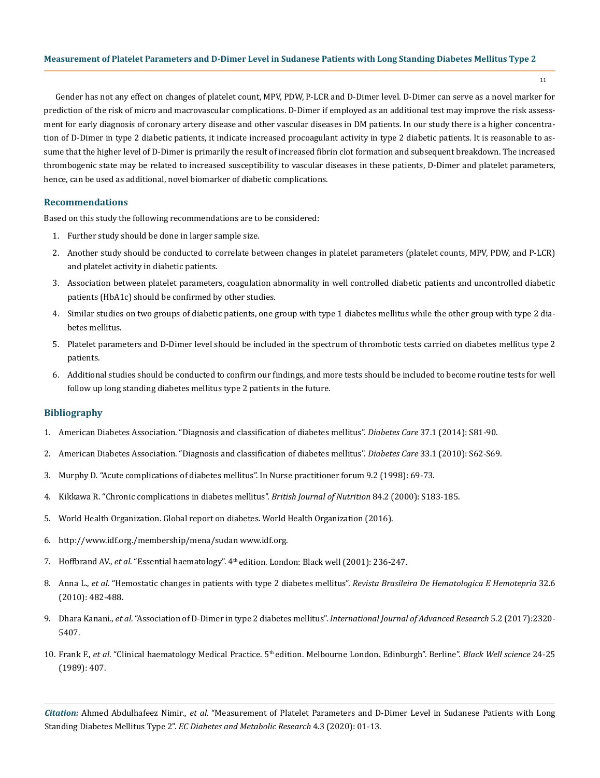11

Gender has not any effect on changes of platelet count, MPV, PDW, P-LCR and D-Dimer level. D-Dimer can serve as a novel marker for prediction of the risk of micro and macrovascular complications. D-Dimer if employed as an additional test may improve the risk assessment for early diagnosis of coronary artery disease and other vascular diseases in DM patients. In our study there is a higher concentration of D-Dimer in type 2 diabetic patients, it indicate increased procoagulant activity in type 2 diabetic patients. It is reasonable to assume that the higher level of D-Dimer is primarily the result of increased fibrin clot formation and subsequent breakdown. The increased thrombogenic state may be related to increased susceptibility to vascular diseases in these patients, D-Dimer and platelet parameters, hence, can be used as additional, novel biomarker of diabetic complications.

# **Recommendations**

Based on this study the following recommendations are to be considered:

- 1. Further study should be done in larger sample size.
- 2. Another study should be conducted to correlate between changes in platelet parameters (platelet counts, MPV, PDW, and P-LCR) and platelet activity in diabetic patients.
- 3. Association between platelet parameters, coagulation abnormality in well controlled diabetic patients and uncontrolled diabetic patients (HbA1c) should be confirmed by other studies.
- 4. Similar studies on two groups of diabetic patients, one group with type 1 diabetes mellitus while the other group with type 2 diabetes mellitus.
- 5. Platelet parameters and D-Dimer level should be included in the spectrum of thrombotic tests carried on diabetes mellitus type 2 patients.
- 6. Additional studies should be conducted to confirm our findings, and more tests should be included to become routine tests for well follow up long standing diabetes mellitus type 2 patients in the future.

# **Bibliography**

- 1. [American Diabetes Association. "Diagnosis and classification of diabetes mellitus".](https://www.ncbi.nlm.nih.gov/pmc/articles/PMC2797383/) *Diabetes Care* 37.1 (2014): S81-90.
- 2. [American Diabetes Association. "Diagnosis and classification of diabetes mellitus".](https://www.ncbi.nlm.nih.gov/pmc/articles/PMC2797383/) *Diabetes Care* 33.1 (2010): S62-S69.
- 3. Murphy D. "Acute complications of diabetes mellitus". In Nurse practitioner forum 9.2 (1998): 69-73.
- 4. [Kikkawa R. "Chronic complications in diabetes mellitus".](https://www.ncbi.nlm.nih.gov/pubmed/11242466) *British Journal of Nutrition* 84.2 (2000): S183-185.
- 5. World Health Organization. Global report on diabetes. World Health Organization (2016).
- 6. http://www.idf.org./membership/mena/sudan www.idf.org.
- 7. Hoffbrand AV., *et al*. "Essential haematology". 4th edition. London: Black well (2001): 236-247.
- 8. Anna L., *et al*[. "Hemostatic changes in patients with type 2 diabetes mellitus".](http://www.scielo.br/scielo.php?script=sci_arttext&pid=S1516-84842010000600013&lng=en&nrm=iso&tlng=en) *Revista Brasileira De Hematologica E Hemotepria* 32.6 [\(2010\): 482-488.](http://www.scielo.br/scielo.php?script=sci_arttext&pid=S1516-84842010000600013&lng=en&nrm=iso&tlng=en)
- 9. Dhara Kanani., *et al*[. "Association of D-Dimer in type 2 diabetes mellitus".](https://www.journalijar.com/article/15749/association-of-d-dimer-in-type-2-diabetes-mellitus/) *International Journal of Advanced Research* 5.2 (2017):2320- [5407.](https://www.journalijar.com/article/15749/association-of-d-dimer-in-type-2-diabetes-mellitus/)
- 10. Frank F., *et al*. "Clinical haematology Medical Practice. 5th edition. Melbourne London. Edinburgh". Berline". *Black Well science* 24-25 (1989): 407.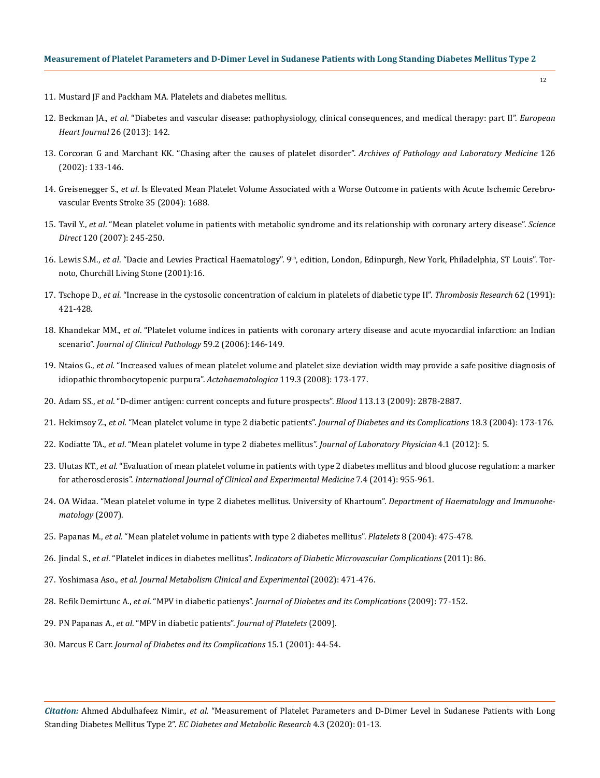- 11. Mustard JF and Packham MA. Platelets and diabetes mellitus.
- 12. Beckman JA., *et al*[. "Diabetes and vascular disease: pathophysiology, clinical consequences, and medical therapy: part II".](https://www.ncbi.nlm.nih.gov/pubmed/23641007) *European Heart Journal* [26 \(2013\): 142.](https://www.ncbi.nlm.nih.gov/pubmed/23641007)
- 13. [Corcoran G and Marchant KK. "Chasing after the causes of platelet disorder".](http://www.captodayonline.com/Archives/feature_stories/platelet_disorders_feature.html) *Archives of Pathology and Laboratory Medicine* 126 [\(2002\): 133-146.](http://www.captodayonline.com/Archives/feature_stories/platelet_disorders_feature.html)
- 14. Greisenegger S., *et al*. Is Elevated Mean Platelet Volume Associated with a Worse Outcome in patients with Acute Ischemic Cerebrovascular Events Stroke 35 (2004): 1688.
- 15. Tavil Y., *et al*[. "Mean platelet volume in patients with metabolic syndrome and its relationship with coronary artery disease".](https://www.thrombosisresearch.com/article/S0049-3848%2806%2900392-6/fulltext) *Science Direct* [120 \(2007\): 245-250.](https://www.thrombosisresearch.com/article/S0049-3848%2806%2900392-6/fulltext)
- 16. Lewis S.M., *et al*. "Dacie and Lewies Practical Haematology". 9th, edition, London, Edinpurgh, New York, Philadelphia, ST Louis". Tornoto, Churchill Living Stone (2001):16.
- 17. Tschope D., *et al*[. "Increase in the cystosolic concentration of calcium in platelets of diabetic type II".](https://www.ncbi.nlm.nih.gov/pubmed/1896961) *Thrombosis Research* 62 (1991): [421-428.](https://www.ncbi.nlm.nih.gov/pubmed/1896961)
- 18. Khandekar MM., *et al*[. "Platelet volume indices in patients with coronary artery disease and acute myocardial infarction: an Indian](https://www.ncbi.nlm.nih.gov/pmc/articles/PMC1860313/)  scenario". *[Journal of Clinical Pathology](https://www.ncbi.nlm.nih.gov/pmc/articles/PMC1860313/)* 59.2 (2006):146-149.
- 19. Ntaios G., *et al*[. "Increased values of mean platelet volume and platelet size deviation width may provide a safe positive diagnosis of](https://www.researchgate.net/publication/5338824_Increased_Values_of_Mean_Platelet_Volume_and_Platelet_Size_Deviation_Width_May_Provide_a_Safe_Positive_Diagnosis_of_Idiopathic_Thrombocytopenic_Purpura)  [idiopathic thrombocytopenic purpura".](https://www.researchgate.net/publication/5338824_Increased_Values_of_Mean_Platelet_Volume_and_Platelet_Size_Deviation_Width_May_Provide_a_Safe_Positive_Diagnosis_of_Idiopathic_Thrombocytopenic_Purpura) *Actahaematologica* 119.3 (2008): 173-177.
- 20. Adam SS., *et al*[. "D-dimer antigen: current concepts and future prospects".](https://www.ncbi.nlm.nih.gov/pubmed/19008457) *Blood* 113.13 (2009): 2878-2887.
- 21. Hekimsoy Z., *et al*[. "Mean platelet volume in type 2 diabetic patients".](https://www.ncbi.nlm.nih.gov/pubmed/15145330) *Journal of Diabetes and its Complications* 18.3 (2004): 173-176.
- 22. Kodiatte TA., *et al*[. "Mean platelet volume in type 2 diabetes mellitus".](https://www.ncbi.nlm.nih.gov/pubmed/15145330) *Journal of Laboratory Physician* 4.1 (2012): 5.
- 23. Ulutas KT., *et al*[. "Evaluation of mean platelet volume in patients with type 2 diabetes mellitus and blood glucose regulation: a marker](https://www.ncbi.nlm.nih.gov/pubmed/24955167)  for atherosclerosis". *[International Journal of Clinical and Experimental Medicine](https://www.ncbi.nlm.nih.gov/pubmed/24955167)* 7.4 (2014): 955-961.
- 24. [OA Widaa. "Mean platelet volume in type 2 diabetes mellitus. University of Khartoum".](https://www.ncbi.nlm.nih.gov/pubmed/22923915) *Department of Haematology and Immunohe[matology](https://www.ncbi.nlm.nih.gov/pubmed/22923915)* (2007).
- 25. Papanas M., *et al*[. "Mean platelet volume in patients with type 2 diabetes mellitus".](https://www.ncbi.nlm.nih.gov/pubmed/15763888) *Platelets* 8 (2004): 475-478.
- 26. Jindal S., *et al*. "Platelet indices in diabetes mellitus". *[Indicators of Diabetic Microvascular Complications](https://www.ncbi.nlm.nih.gov/pubmed/21418738)* (2011): 86.
- 27. Yoshimasa Aso., *et al*. *Journal Metabolism Clinical and Experimental* (2002): 471-476.
- 28. Refik Demirtunc A., *et al*. "MPV in diabetic patienys". *Journal of Diabetes and its Complications* (2009): 77-152.
- 29. PN Papanas A., *et al*. "MPV in diabetic patients". *Journal of Platelets* (2009).
- 30. Marcus E Carr. *Journal of Diabetes and its Complications* 15.1 (2001): 44-54.

*Citation:* Ahmed Abdulhafeez Nimir*., et al.* "Measurement of Platelet Parameters and D-Dimer Level in Sudanese Patients with Long Standing Diabetes Mellitus Type 2". *EC Diabetes and Metabolic Research* 4.3 (2020): 01-13.